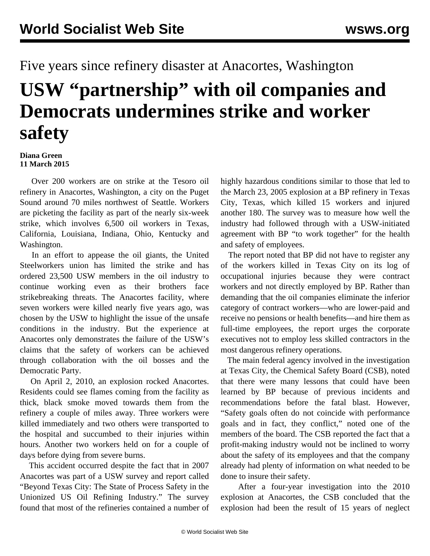## Five years since refinery disaster at Anacortes, Washington **USW "partnership" with oil companies and Democrats undermines strike and worker safety**

## **Diana Green 11 March 2015**

 Over 200 workers are on strike at the Tesoro oil refinery in Anacortes, Washington, a city on the Puget Sound around 70 miles northwest of Seattle. Workers are picketing the facility as part of the nearly six-week strike, which involves 6,500 oil workers in Texas, California, Louisiana, Indiana, Ohio, Kentucky and Washington.

 In an effort to appease the oil giants, the United Steelworkers union has limited the strike and has ordered 23,500 USW members in the oil industry to continue working even as their brothers face strikebreaking threats. The Anacortes facility, where seven workers were killed nearly five years ago, was chosen by the USW to highlight the issue of the unsafe conditions in the industry. But the experience at Anacortes only demonstrates the failure of the USW's claims that the safety of workers can be achieved through collaboration with the oil bosses and the Democratic Party.

 On April 2, 2010, an explosion rocked Anacortes. Residents could see flames coming from the facility as thick, black smoke moved towards them from the refinery a couple of miles away. Three workers were killed immediately and two others were transported to the hospital and succumbed to their injuries within hours. Another two workers held on for a couple of days before dying from severe burns.

 This accident occurred despite the fact that in 2007 Anacortes was part of a USW survey and report called "Beyond Texas City: The State of Process Safety in the Unionized US Oil Refining Industry." The survey found that most of the refineries contained a number of highly hazardous conditions similar to those that led to the March 23, 2005 explosion at a BP refinery in Texas City, Texas, which killed 15 workers and injured another 180. The survey was to measure how well the industry had followed through with a USW-initiated agreement with BP "to work together" for the health and safety of employees.

 The report noted that BP did not have to register any of the workers killed in Texas City on its log of occupational injuries because they were contract workers and not directly employed by BP. Rather than demanding that the oil companies eliminate the inferior category of contract workers—who are lower-paid and receive no pensions or health benefits—and hire them as full-time employees, the report urges the corporate executives not to employ less skilled contractors in the most dangerous refinery operations.

 The main federal agency involved in the investigation at Texas City, the Chemical Safety Board (CSB), noted that there were many lessons that could have been learned by BP because of previous incidents and recommendations before the fatal blast. However, "Safety goals often do not coincide with performance goals and in fact, they conflict," noted one of the members of the board. The CSB reported the fact that a profit-making industry would not be inclined to worry about the safety of its employees and that the company already had plenty of information on what needed to be done to insure their safety.

 After a four-year investigation into the 2010 explosion at Anacortes, the CSB concluded that the explosion had been the result of 15 years of neglect